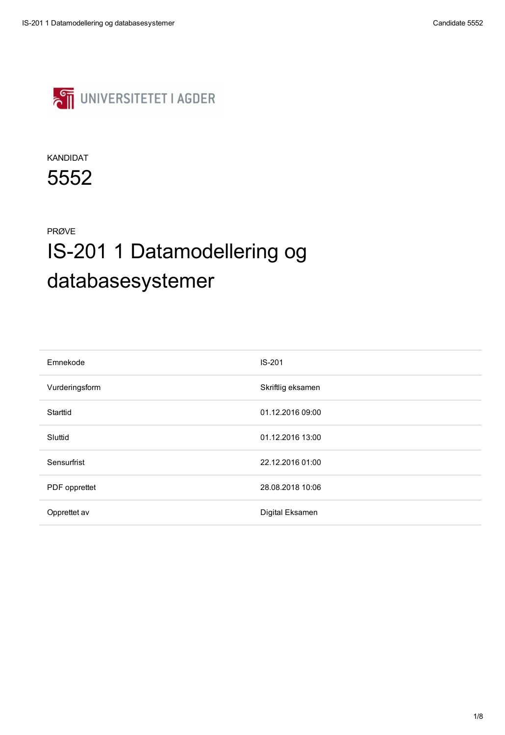

| Emnekode        | <b>IS-201</b>     |
|-----------------|-------------------|
| Vurderingsform  | Skriftlig eksamen |
| <b>Starttid</b> | 01.12.2016 09:00  |
| Sluttid         | 01.12.2016 13:00  |

| Sensurfrist          | 22.12.2016 01:00 |
|----------------------|------------------|
| <b>PDF</b> opprettet | 28.08.2018 10:06 |
| Opprettet av         | Digital Eksamen  |

#### KANDIDAT

5552

#### PRØVE

# IS-201 1 Datamodellering og databasesystemer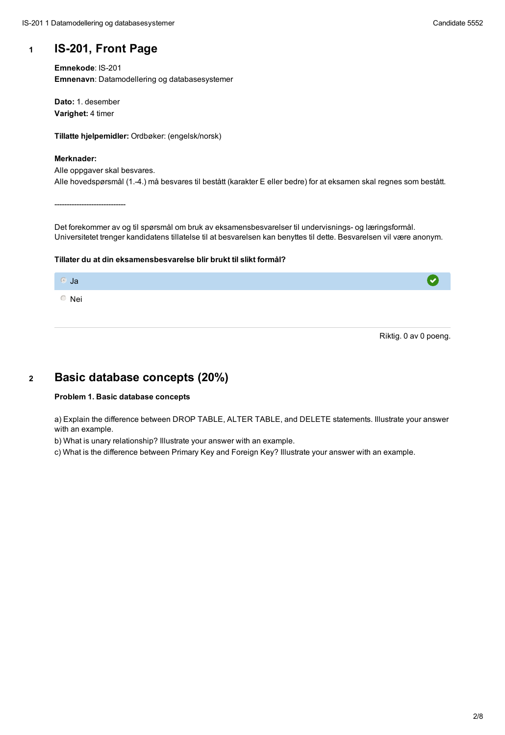## **<sup>1</sup> IS-201, Front Page**

**Emnekode**: IS-201 **Emnenavn**: Datamodellering og databasesystemer

**Dato:** 1. desember **Varighet:** 4 timer

**Tillatte hjelpemidler:** Ordbøker: (engelsk/norsk)

#### **Merknader:**

Alle oppgaver skal besvares. Alle hovedspørsmål (1.-4.) må besvares til bestått (karakter E eller bedre) for at eksamen skal regnes som bestått.

-----------------------------

Det forekommer av og til spørsmål om bruk av eksamensbesvarelser til undervisnings- og læringsformål. Universitetet trenger kandidatens tillatelse til at besvarelsen kan benyttes til dette. Besvarelsen vil være anonym.

#### **Tillater du at din eksamensbesvarelse blir brukt til slikt formål?**



Riktig. 0 av 0 poeng.

## **<sup>2</sup> Basic database concepts (20%)**

#### **Problem 1. Basic database concepts**

a) Explain the difference between DROP TABLE, ALTER TABLE, and DELETE statements. Illustrate your answer with an example.

b) What is unary relationship? Illustrate your answer with an example.

- 
- c) What is the difference between Primary Key and Foreign Key? Illustrate your answer with an example.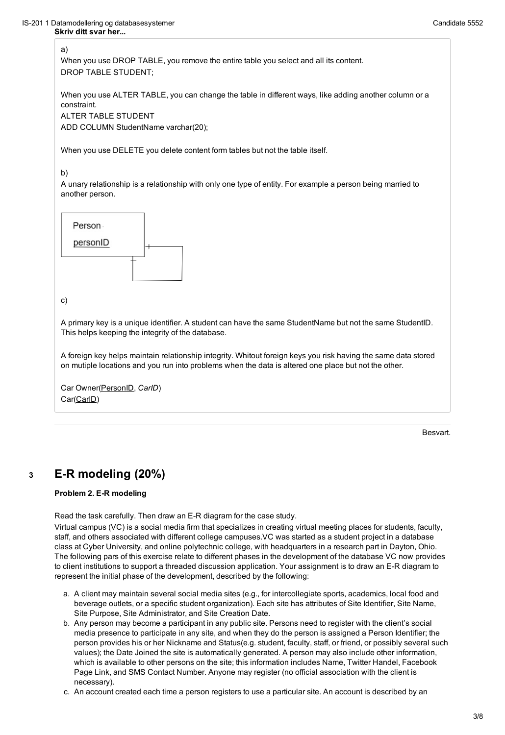#### a)

When you use DROP TABLE, you remove the entire table you select and all its content. DROP TABLE STUDENT;

When you use ALTER TABLE, you can change the table in different ways, like adding another column or a constraint.

```
ALTER TABLE STUDENT
ADD COLUMN StudentName varchar(20);
```
When you use DELETE you delete content form tables but not the table itself.

#### b)

```
Car Owner(PersonID, CarID)
Car(CarlD)
```
A unary relationship is a relationship with only one type of entity. For example a person being married to another person.



#### c)

A primary key is a unique identifier. A student can have the same StudentName but not the same StudentID. This helps keeping the integrity of the database.

A foreign key helps maintain relationship integrity. Whitout foreign keys you risk having the same data stored on mutiple locations and you run into problems when the data is altered one place but not the other.

## **<sup>3</sup> E-R modeling (20%)**

#### **Problem 2. E-R modeling**

Read the task carefully. Then draw an E-R diagram for the case study.

Virtual campus (VC) is a social media firm that specializes in creating virtual meeting places for students, faculty, staff, and others associated with different college campuses.VC was started as a student project in a database class at Cyber University, and online polytechnic college, with headquarters in a research part in Dayton, Ohio. The following pars of this exercise relate to different phases in the development of the database VC now provides to client institutions to support a threaded discussion application. Your assignment is to draw an E-R diagram to represent the initial phase of the development, described by the following:

- a. A client may maintain several social media sites (e.g., for intercollegiate sports, academics, local food and beverage outlets, or a specific student organization). Each site has attributes of Site Identifier, Site Name, Site Purpose, Site Administrator, and Site Creation Date.
- b. Any person may become a participant in any public site. Persons need to register with the client's social media presence to participate in any site, and when they do the person is assigned a Person Identifier; the person provides his or her Nickname and Status(e.g. student, faculty, staff, or friend, or possibly several such values); the Date Joined the site is automatically generated. A person may also include other information, which is available to other persons on the site; this information includes Name, Twitter Handel, Facebook Page Link, and SMS Contact Number. Anyone may register (no official association with the client is necessary).
- c. An account created each time a person registers to use a particular site. An account is described by an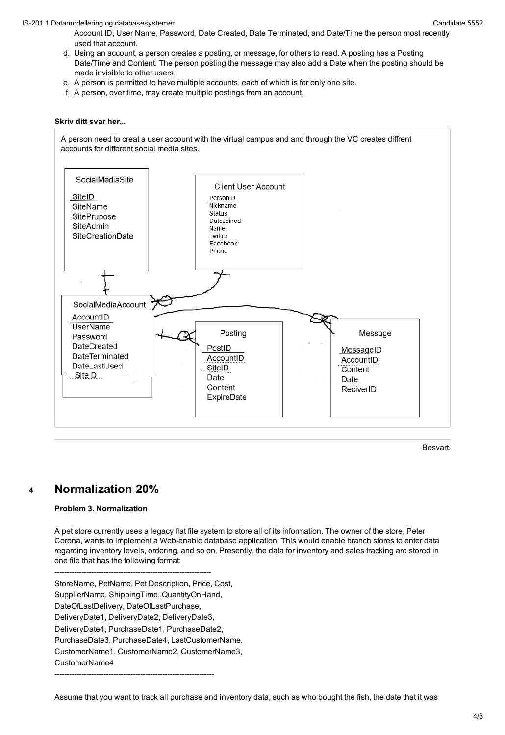Account ID, User Name, Password, Date Created, Date Terminated, and Date/Time the person most recently used that account.

- d. Using an account, a person creates a posting, or message, for others to read. A posting has a Posting Date/Time and Content. The person posting the message may also add a Date when the posting should be made invisible to other users.
- e. A person is permitted to have multiple accounts, each of which is for only one site.
- f. A person, over time, may create multiple postings from an account.

#### **Skriv ditt svar her...**



## **<sup>4</sup> Normalization 20%**

#### **Problem 3. Normalization**

A pet store currently uses a legacy flat file system to store all of its information. The owner of the store, Peter Corona, wants to implement a Web-enable database application. This would enable branch stores to enter data regarding inventory levels, ordering, and so on. Presently, the data for inventory and sales tracking are stored in one file that has the following format:

----------------------------------------------------------------

StoreName, PetName, Pet Description, Price, Cost, SupplierName, ShippingTime, QuantityOnHand, DateOfLastDelivery, DateOfLastPurchase, DeliveryDate1, DeliveryDate2, DeliveryDate3, DeliveryDate4, PurchaseDate1, PurchaseDate2, PurchaseDate3, PurchaseDate4, LastCustomerName, CustomerName1, CustomerName2, CustomerName3, CustomerName4

-----------------------------------------------------------------

Assume that you want to track all purchase and inventory data, such as who bought the fish, the date that it was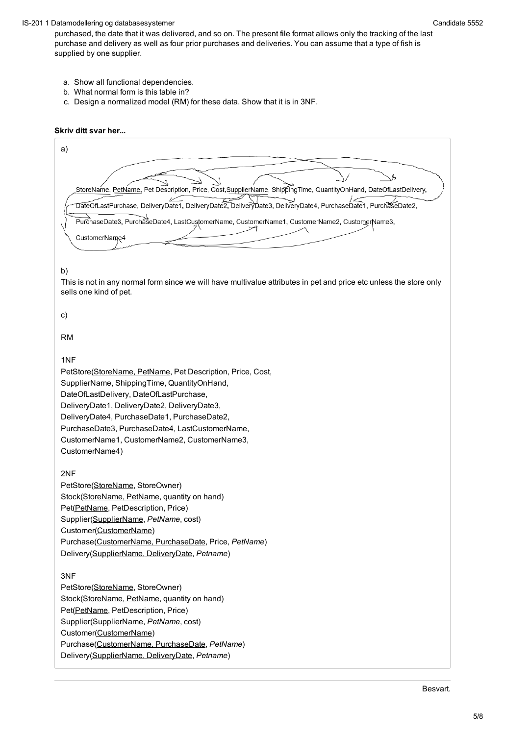#### IS-201 1 Datamodellering og databasesystemer Candidate 5552

purchased, the date that it was delivered, and so on. The present file format allows only the tracking of the last purchase and delivery as well as four prior purchases and deliveries. You can assume that a type of fish is supplied by one supplier.

a) StoreName, PetName, Pet Description, Price, Cost,SupplierName, ShippingTime, QuantityOnHand, DateOfLastDelivery, DateOfLastPurchase, DeliveryDate1, DeliveryDate2, DeliveryDate3, DeliveryDate4, PurchaseDate1, PurchaseDate2, PurchaseDate3, PurchaseDate4, LastCustomerName, CustomerName1, CustomerName2, CustomerName3, CustomerName4

- a. Show all functional dependencies.
- b. What normal form is this table in?
- c. Design a normalized model (RM) for these data. Show that it is in 3NF.

#### **Skriv ditt svar her...**

b)

This is not in any normal form since we will have multivalue attributes in pet and price etc unless the store only sells one kind of pet.

c)

RM

1NF

PetStore(StoreName, PetName, Pet Description, Price, Cost,

SupplierName, ShippingTime, QuantityOnHand,

DateOfLastDelivery, DateOfLastPurchase,

DeliveryDate1, DeliveryDate2, DeliveryDate3,

DeliveryDate4, PurchaseDate1, PurchaseDate2,

PurchaseDate3, PurchaseDate4, LastCustomerName,

CustomerName1, CustomerName2, CustomerName3,

```
CustomerName4)
```
#### 2NF

PetStore(StoreName, StoreOwner) Stock(StoreName, PetName, quantity on hand) Pet(PetName, PetDescription, Price) Supplier(SupplierName, *PetName*, cost) Customer(CustomerName) Purchase(CustomerName, PurchaseDate, Price, *PetName*) Delivery(SupplierName, DeliveryDate, *Petname*)

#### 3NF

PetStore(StoreName, StoreOwner) Stock(StoreName, PetName, quantity on hand) Pet(PetName, PetDescription, Price) Supplier(SupplierName, *PetName*, cost) Customer(CustomerName) Purchase(CustomerName, PurchaseDate, *PetName*) Delivery(SupplierName, DeliveryDate, *Petname*)

Besvart.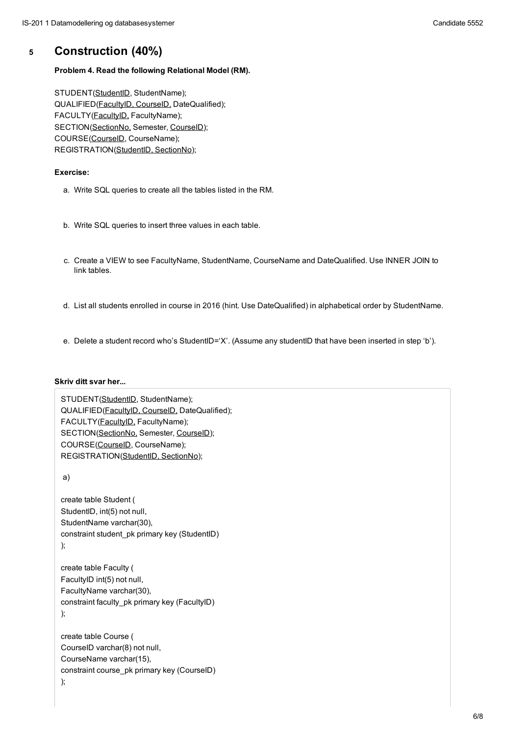## **<sup>5</sup> Construction (40%)**

#### **Problem 4. Read the following Relational Model (RM).**

STUDENT(StudentID, StudentName); QUALIFIED(FacultyID, CourseID, DateQualified); FACULTY(FacultyID, FacultyName); SECTION(SectionNo, Semester, CourseID); COURSE(CourseID, CourseName); REGISTRATION(StudentID, SectionNo);

#### **Exercise:**

- a. Write SQL queries to create all the tables listed in the RM.
- b. Write SQL queries to insert three values in each table.
- c. Create a VIEW to see FacultyName, StudentName, CourseName and DateQualified. Use INNER JOIN to link tables.
- d. List all students enrolled in course in 2016 (hint. Use DateQualified) in alphabetical order by StudentName.
- e. Delete a student record who's StudentID='X'. (Assume any studentID that have been inserted in step 'b').

#### **Skriv ditt svar her...**

STUDENT(StudentID, StudentName); QUALIFIED(FacultyID, CourseID, DateQualified); FACULTY(FacultyID, FacultyName); SECTION(SectionNo, Semester, CourseID);

```
COURSE(CourseID, CourseName);
REGISTRATION(StudentID, SectionNo);
```
#### a)

```
create table Student (
StudentID, int(5) not null,
StudentName varchar(30),
constraint student_pk primary key (StudentID)
);
```

```
create table Faculty (
FacultyID int(5) not null,
FacultyName varchar(30),
constraint faculty_pk primary key (FacultyID)
);
```

```
create table Course (
CourseID varchar(8) not null,
CourseName varchar(15),
constraint course_pk primary key (CourseID)
);
```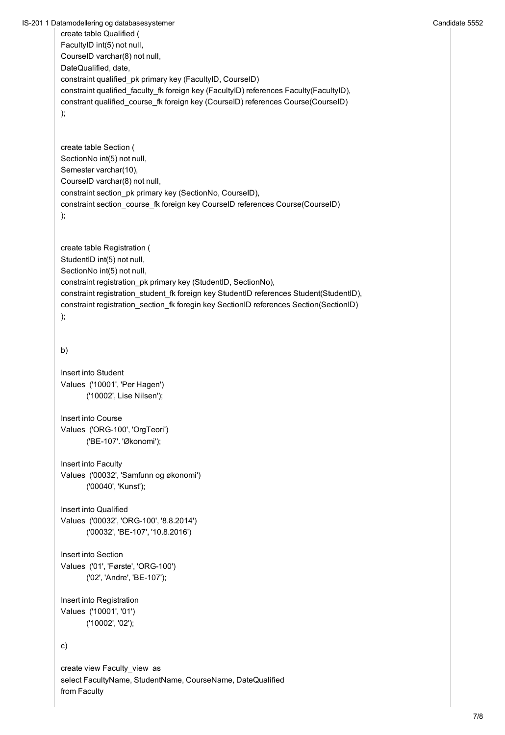IS-201 1 Datamodellering og databasesystemer Candidate 5552

```
create table Qualified (
FacultyID int(5) not null,
CourseID varchar(8) not null,
DateQualified, date,
constraint qualified_pk primary key (FacultyID, CourseID)
constraint qualified_faculty_fk foreign key (FacultyID) references Faculty(FacultyID),
constrant qualified_course_fk foreign key (CourseID) references Course(CourseID)
);
create table Section (
SectionNo int(5) not null,
Semester varchar(10),
CourseID varchar(8) not null,
constraint section_pk primary key (SectionNo, CourseID),
constraint section_course_fk foreign key CourseID references Course(CourseID)
);
create table Registration (
StudentID int(5) not null,
SectionNo int(5) not null,
constraint registration_pk primary key (StudentID, SectionNo),
constraint registration_student_fk foreign key StudentID references Student(StudentID),
constraint registration_section_fk foregin key SectionID references Section(SectionID)
);
b)
Insert into Student
Values ('10001', 'Per Hagen')
       ('10002', Lise Nilsen');
Insert into Course
Values ('ORG-100', 'OrgTeori')
```

```
('BE-107'. 'Økonomi');
```

```
Insert into Faculty
Values ('00032', 'Samfunn og økonomi')
       ('00040', 'Kunst');
```

```
Insert into Qualified
Values ('00032', 'ORG-100', '8.8.2014')
       ('00032', 'BE-107', '10.8.2016')
```

```
Insert into Section
Values ('01', 'Første', 'ORG-100')
        ('02', 'Andre', 'BE-107');
```

```
Insert into Registration
Values ('10001', '01')
       ('10002', '02');
```
c)

create view Faculty\_view as select FacultyName, StudentName, CourseName, DateQualified from Faculty